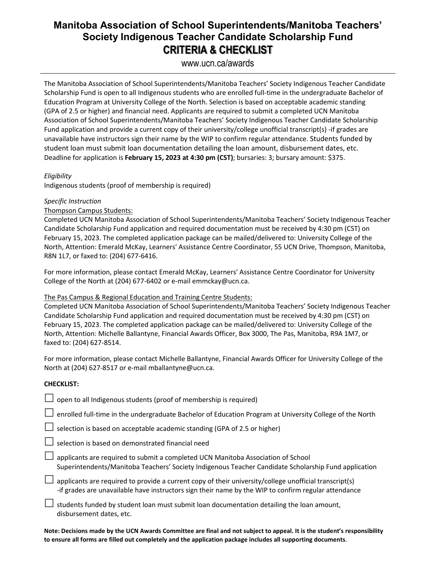# **Manitoba Association of School Superintendents/Manitoba Teachers' Society Indigenous Teacher Candidate Scholarship Fund CRITERIA & CHECKLIST**

www.ucn.ca/awards

The Manitoba Association of School Superintendents/Manitoba Teachers' Society Indigenous Teacher Candidate Scholarship Fund is open to all Indigenous students who are enrolled full-time in the undergraduate Bachelor of Education Program at University College of the North. Selection is based on acceptable academic standing (GPA of 2.5 or higher) and financial need. Applicants are required to submit a completed UCN Manitoba Association of School Superintendents/Manitoba Teachers' Society Indigenous Teacher Candidate Scholarship Fund application and provide a current copy of their university/college unofficial transcript(s) -if grades are unavailable have instructors sign their name by the WIP to confirm regular attendance. Students funded by student loan must submit loan documentation detailing the loan amount, disbursement dates, etc. Deadline for application is **February 15, 2023 at 4:30 pm (CST)**; bursaries: 3; bursary amount: \$375.

# *Eligibility*

Indigenous students (proof of membership is required)

# *Specific Instruction*

# Thompson Campus Students:

Completed UCN Manitoba Association of School Superintendents/Manitoba Teachers' Society Indigenous Teacher Candidate Scholarship Fund application and required documentation must be received by 4:30 pm (CST) on February 15, 2023. The completed application package can be mailed/delivered to: University College of the North, Attention: Emerald McKay, Learners' Assistance Centre Coordinator, 55 UCN Drive, Thompson, Manitoba, R8N 1L7, or faxed to: (204) 677-6416.

For more information, please contact Emerald McKay, Learners' Assistance Centre Coordinator for University College of the North at (204) 677-6402 or e-mail emmckay@ucn.ca.

#### The Pas Campus & Regional Education and Training Centre Students:

Completed UCN Manitoba Association of School Superintendents/Manitoba Teachers' Society Indigenous Teacher Candidate Scholarship Fund application and required documentation must be received by 4:30 pm (CST) on February 15, 2023. The completed application package can be mailed/delivered to: University College of the North, Attention: Michelle Ballantyne, Financial Awards Officer, Box 3000, The Pas, Manitoba, R9A 1M7, or faxed to: (204) 627-8514.

For more information, please contact Michelle Ballantyne, Financial Awards Officer for University College of the North at (204) 627-8517 or e-mail mballantyne@ucn.ca.

#### **CHECKLIST:**

 $\Box$  open to all Indigenous students (proof of membership is required)

 $\Box$  enrolled full-time in the undergraduate Bachelor of Education Program at University College of the North

 $\Box$  selection is based on acceptable academic standing (GPA of 2.5 or higher)

 $\Box$  selection is based on demonstrated financial need

 $\Box$  applicants are required to submit a completed UCN Manitoba Association of School Superintendents/Manitoba Teachers' Society Indigenous Teacher Candidate Scholarship Fund application

 $\Box$  applicants are required to provide a current copy of their university/college unofficial transcript(s) -if grades are unavailable have instructors sign their name by the WIP to confirm regular attendance

 $\Box$  students funded by student loan must submit loan documentation detailing the loan amount, disbursement dates, etc.

**Note: Decisions made by the UCN Awards Committee are final and not subject to appeal. It is the student's responsibility to ensure all forms are filled out completely and the application package includes all supporting documents**.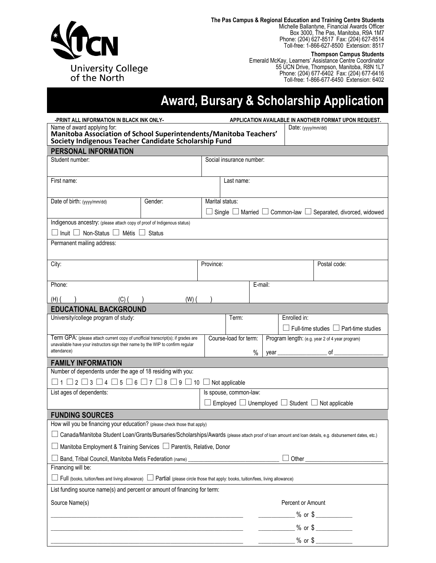

**The Pas Campus & Regional Education and Training Centre Students**

Michelle Ballantyne, Financial Awards Officer Box 3000, The Pas, Manitoba, R9A 1M7 Phone: (204) 627-8517 Fax: (204) 627-8514 Toll-free: 1-866-627-8500 Extension: 8517

**Thompson Campus Students**

Emerald McKay, Learners' Assistance Centre Coordinator 55 UCN Drive, Thompson, Manitoba, R8N 1L7 Phone: (204) 677-6402 Fax: (204) 677-6416 Toll-free: 1-866-677-6450 Extension: 6402

# **Award, Bursary & Scholarship Application**

| -PRINT ALL INFORMATION IN BLACK INK ONLY-                                                                                                                           |                                                                                                                 |           | APPLICATION AVAILABLE IN ANOTHER FORMAT UPON REQUEST.                       |         |       |                   |                                                                 |  |  |
|---------------------------------------------------------------------------------------------------------------------------------------------------------------------|-----------------------------------------------------------------------------------------------------------------|-----------|-----------------------------------------------------------------------------|---------|-------|-------------------|-----------------------------------------------------------------|--|--|
| Name of award applying for:<br>Manitoba Association of School Superintendents/Manitoba Teachers'                                                                    |                                                                                                                 |           |                                                                             |         |       |                   | Date: (yyyy/mm/dd)                                              |  |  |
| Society Indigenous Teacher Candidate Scholarship Fund                                                                                                               |                                                                                                                 |           |                                                                             |         |       |                   |                                                                 |  |  |
| PERSONAL INFORMATION                                                                                                                                                |                                                                                                                 |           |                                                                             |         |       |                   |                                                                 |  |  |
| Student number:                                                                                                                                                     |                                                                                                                 |           | Social insurance number:                                                    |         |       |                   |                                                                 |  |  |
|                                                                                                                                                                     |                                                                                                                 |           |                                                                             |         |       |                   |                                                                 |  |  |
| First name:                                                                                                                                                         |                                                                                                                 |           | Last name:                                                                  |         |       |                   |                                                                 |  |  |
|                                                                                                                                                                     |                                                                                                                 |           |                                                                             |         |       |                   |                                                                 |  |  |
| Date of birth: (yyyy/mm/dd)                                                                                                                                         | Gender:                                                                                                         |           | Marital status:                                                             |         |       |                   |                                                                 |  |  |
|                                                                                                                                                                     |                                                                                                                 |           | Single $\Box$ Married $\Box$ Common-law $\Box$ Separated, divorced, widowed |         |       |                   |                                                                 |  |  |
| Indigenous ancestry: (please attach copy of proof of Indigenous status)                                                                                             |                                                                                                                 |           |                                                                             |         |       |                   |                                                                 |  |  |
| $\Box$ Inuit $\Box$ Non-Status $\Box$ Métis $\Box$ Status                                                                                                           |                                                                                                                 |           |                                                                             |         |       |                   |                                                                 |  |  |
| Permanent mailing address:                                                                                                                                          |                                                                                                                 |           |                                                                             |         |       |                   |                                                                 |  |  |
|                                                                                                                                                                     |                                                                                                                 |           |                                                                             |         |       |                   |                                                                 |  |  |
| City:                                                                                                                                                               |                                                                                                                 | Province: |                                                                             |         |       |                   | Postal code:                                                    |  |  |
|                                                                                                                                                                     |                                                                                                                 |           |                                                                             |         |       |                   |                                                                 |  |  |
| Phone:                                                                                                                                                              |                                                                                                                 |           |                                                                             | E-mail: |       |                   |                                                                 |  |  |
| $(H)$ (<br>(C) (                                                                                                                                                    | $(W)$ (                                                                                                         |           |                                                                             |         |       |                   |                                                                 |  |  |
| <b>EDUCATIONAL BACKGROUND</b>                                                                                                                                       |                                                                                                                 |           |                                                                             |         |       |                   |                                                                 |  |  |
| University/college program of study:                                                                                                                                |                                                                                                                 |           | Term:                                                                       |         |       | Enrolled in:      |                                                                 |  |  |
|                                                                                                                                                                     |                                                                                                                 |           |                                                                             |         |       |                   | $\Box$ Full-time studies $\Box$ Part-time studies               |  |  |
| Term GPA: (please attach current copy of unofficial transcript(s); if grades are<br>unavailable have your instructors sign their name by the WIP to confirm regular |                                                                                                                 |           | Course-load for term:                                                       |         |       |                   | Program length: (e.g. year 2 of 4 year program)                 |  |  |
| attendance)                                                                                                                                                         |                                                                                                                 |           |                                                                             | $\%$    | year_ |                   | of                                                              |  |  |
| <b>FAMILY INFORMATION</b>                                                                                                                                           |                                                                                                                 |           |                                                                             |         |       |                   |                                                                 |  |  |
| Number of dependents under the age of 18 residing with you:                                                                                                         |                                                                                                                 |           |                                                                             |         |       |                   |                                                                 |  |  |
| $\Box$ 1 $\Box$ 2 $\Box$ 3 $\Box$ 4 $\Box$ 5 $\Box$ 6 $\Box$ 7 $\Box$ 8 $\Box$ 9 $\Box$ 10 $\Box$ Not applicable                                                    |                                                                                                                 |           |                                                                             |         |       |                   |                                                                 |  |  |
| List ages of dependents:<br>Is spouse, common-law:                                                                                                                  |                                                                                                                 |           |                                                                             |         |       |                   |                                                                 |  |  |
|                                                                                                                                                                     |                                                                                                                 |           |                                                                             |         |       |                   | Employed $\Box$ Unemployed $\Box$ Student $\Box$ Not applicable |  |  |
| <b>FUNDING SOURCES</b>                                                                                                                                              |                                                                                                                 |           |                                                                             |         |       |                   |                                                                 |  |  |
| How will you be financing your education? (please check those that apply)                                                                                           |                                                                                                                 |           |                                                                             |         |       |                   |                                                                 |  |  |
| □ Canada/Manitoba Student Loan/Grants/Bursaries/Scholarships/Awards (please attach proof of loan amount and loan details, e.g. disbursement dates, etc.)            |                                                                                                                 |           |                                                                             |         |       |                   |                                                                 |  |  |
| Manitoba Employment & Training Services □ Parent/s, Relative, Donor                                                                                                 |                                                                                                                 |           |                                                                             |         |       |                   |                                                                 |  |  |
| Band, Tribal Council, Manitoba Metis Federation (name) _________________________                                                                                    |                                                                                                                 |           |                                                                             |         |       |                   |                                                                 |  |  |
| Financing will be:                                                                                                                                                  |                                                                                                                 |           |                                                                             |         |       |                   |                                                                 |  |  |
| □ Full (books, tuition/fees and living allowance) □ Partial (please circle those that apply: books, tuition/fees, living allowance)                                 |                                                                                                                 |           |                                                                             |         |       |                   |                                                                 |  |  |
| List funding source name(s) and percent or amount of financing for term:                                                                                            |                                                                                                                 |           |                                                                             |         |       |                   |                                                                 |  |  |
| Source Name(s)                                                                                                                                                      |                                                                                                                 |           |                                                                             |         |       | Percent or Amount |                                                                 |  |  |
|                                                                                                                                                                     | the contract of the contract of the contract of the contract of the contract of the contract of the contract of |           |                                                                             |         |       |                   | $\frac{1}{2}$ % or \$                                           |  |  |
|                                                                                                                                                                     |                                                                                                                 |           |                                                                             |         |       |                   | _______________ % or \$ ______________                          |  |  |
|                                                                                                                                                                     |                                                                                                                 |           |                                                                             |         |       |                   | $%$ or $\frac{6}{100}$                                          |  |  |
|                                                                                                                                                                     |                                                                                                                 |           |                                                                             |         |       |                   |                                                                 |  |  |